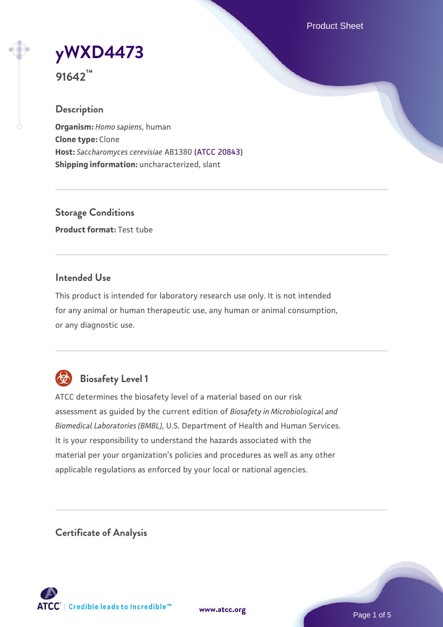Product Sheet

**[yWXD4473](https://www.atcc.org/products/91642)**

**91642™**

## **Description**

**Organism:** *Homo sapiens*, human **Clone type:** Clone **Host:** *Saccharomyces cerevisiae* AB1380 [\(ATCC 20843\)](https://www.atcc.org/products/20843) **Shipping information:** uncharacterized, slant

**Storage Conditions Product format:** Test tube

## **Intended Use**

This product is intended for laboratory research use only. It is not intended for any animal or human therapeutic use, any human or animal consumption, or any diagnostic use.



## **Biosafety Level 1**

ATCC determines the biosafety level of a material based on our risk assessment as guided by the current edition of *Biosafety in Microbiological and Biomedical Laboratories (BMBL)*, U.S. Department of Health and Human Services. It is your responsibility to understand the hazards associated with the material per your organization's policies and procedures as well as any other applicable regulations as enforced by your local or national agencies.

**Certificate of Analysis**

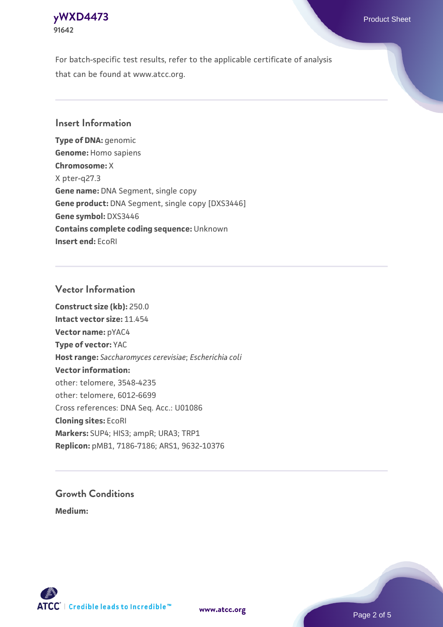## **[yWXD4473](https://www.atcc.org/products/91642)** Product Sheet **91642**

For batch-specific test results, refer to the applicable certificate of analysis that can be found at www.atcc.org.

## **Insert Information**

**Type of DNA:** genomic **Genome:** Homo sapiens **Chromosome:** X X pter-q27.3 **Gene name:** DNA Segment, single copy **Gene product:** DNA Segment, single copy [DXS3446] **Gene symbol:** DXS3446 **Contains complete coding sequence:** Unknown **Insert end:** EcoRI

#### **Vector Information**

**Construct size (kb):** 250.0 **Intact vector size:** 11.454 **Vector name:** pYAC4 **Type of vector:** YAC **Host range:** *Saccharomyces cerevisiae*; *Escherichia coli* **Vector information:** other: telomere, 3548-4235 other: telomere, 6012-6699 Cross references: DNA Seq. Acc.: U01086 **Cloning sites:** EcoRI **Markers:** SUP4; HIS3; ampR; URA3; TRP1 **Replicon:** pMB1, 7186-7186; ARS1, 9632-10376

# **Growth Conditions**

**Medium:** 



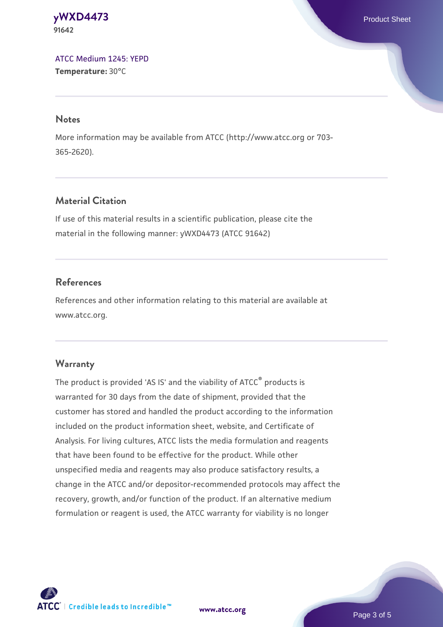#### **[yWXD4473](https://www.atcc.org/products/91642)** Product Sheet **91642**

[ATCC Medium 1245: YEPD](https://www.atcc.org/-/media/product-assets/documents/microbial-media-formulations/1/2/4/5/atcc-medium-1245.pdf?rev=705ca55d1b6f490a808a965d5c072196) **Temperature:** 30°C

#### **Notes**

More information may be available from ATCC (http://www.atcc.org or 703- 365-2620).

## **Material Citation**

If use of this material results in a scientific publication, please cite the material in the following manner: yWXD4473 (ATCC 91642)

## **References**

References and other information relating to this material are available at www.atcc.org.

## **Warranty**

The product is provided 'AS IS' and the viability of ATCC® products is warranted for 30 days from the date of shipment, provided that the customer has stored and handled the product according to the information included on the product information sheet, website, and Certificate of Analysis. For living cultures, ATCC lists the media formulation and reagents that have been found to be effective for the product. While other unspecified media and reagents may also produce satisfactory results, a change in the ATCC and/or depositor-recommended protocols may affect the recovery, growth, and/or function of the product. If an alternative medium formulation or reagent is used, the ATCC warranty for viability is no longer



**[www.atcc.org](http://www.atcc.org)**

Page 3 of 5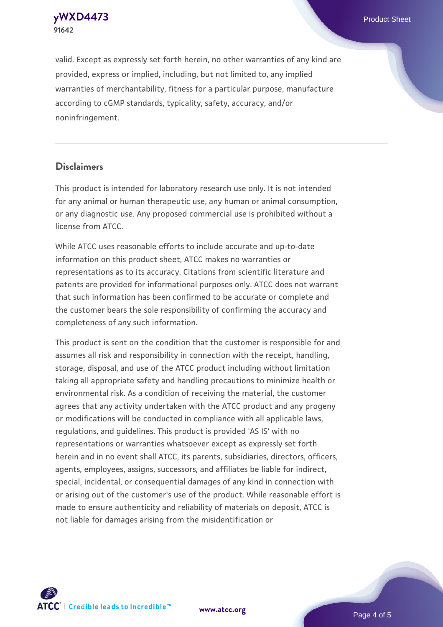**91642**

valid. Except as expressly set forth herein, no other warranties of any kind are provided, express or implied, including, but not limited to, any implied warranties of merchantability, fitness for a particular purpose, manufacture according to cGMP standards, typicality, safety, accuracy, and/or noninfringement.

#### **Disclaimers**

This product is intended for laboratory research use only. It is not intended for any animal or human therapeutic use, any human or animal consumption, or any diagnostic use. Any proposed commercial use is prohibited without a license from ATCC.

While ATCC uses reasonable efforts to include accurate and up-to-date information on this product sheet, ATCC makes no warranties or representations as to its accuracy. Citations from scientific literature and patents are provided for informational purposes only. ATCC does not warrant that such information has been confirmed to be accurate or complete and the customer bears the sole responsibility of confirming the accuracy and completeness of any such information.

This product is sent on the condition that the customer is responsible for and assumes all risk and responsibility in connection with the receipt, handling, storage, disposal, and use of the ATCC product including without limitation taking all appropriate safety and handling precautions to minimize health or environmental risk. As a condition of receiving the material, the customer agrees that any activity undertaken with the ATCC product and any progeny or modifications will be conducted in compliance with all applicable laws, regulations, and guidelines. This product is provided 'AS IS' with no representations or warranties whatsoever except as expressly set forth herein and in no event shall ATCC, its parents, subsidiaries, directors, officers, agents, employees, assigns, successors, and affiliates be liable for indirect, special, incidental, or consequential damages of any kind in connection with or arising out of the customer's use of the product. While reasonable effort is made to ensure authenticity and reliability of materials on deposit, ATCC is not liable for damages arising from the misidentification or



**[www.atcc.org](http://www.atcc.org)**

Page 4 of 5